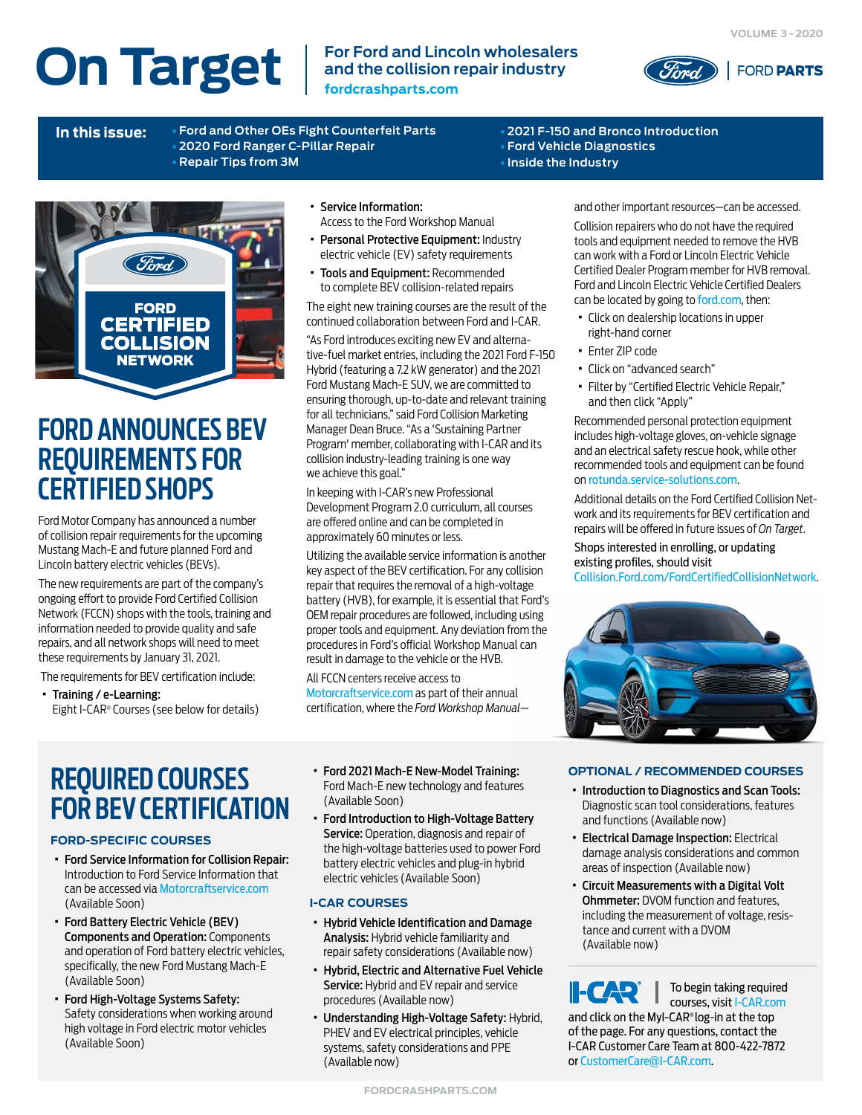# **On Target**  $\left| \begin{array}{c}$  For Ford and Lincoln wholesalers

**and the collision repair industry fordcrashparts.com**



**In this issue:** [•](#page-2-0) **[Ford and Other OEs Fight Counterfeit Parts](#page-1-0)** [•](#page-4-0) **[2020 Ford Ranger C-Pillar Repair](#page-3-0)** [•](#page-3-0) **[Repair Tips from 3M](#page-2-0)**

[•](#page-5-0) **[2021 F-150 and Bronco Introduction](#page-4-0)** [•](#page-5-0) **[Ford Vehicle Diagnostics](#page-4-0)** [•](#page-5-0) **[Inside the Industry](#page-5-0)**



# **FORD ANNOUNCES BEV REQUIREMENTS FOR CERTIFIED SHOPS**

Ford Motor Company has announced a number of collision repair requirements for the upcoming Mustang Mach-E and future planned Ford and Lincoln battery electric vehicles (BEVs).

The new requirements are part of the company's ongoing effort to provide Ford Certified Collision Network (FCCN) shops with the tools, training and information needed to provide quality and safe repairs, and all network shops will need to meet these requirements by January 31, 2021.

The requirements for BEV certification include:

· Training / e-Learning: Eight I-CAR® Courses (see below for details)

- · Service Information: Access to the Ford Workshop Manual
- · Personal Protective Equipment: Industry electric vehicle (EV) safety requirements
- · Tools and Equipment: Recommended to complete BEV collision-related repairs

The eight new training courses are the result of the continued collaboration between Ford and I-CAR.

"As Ford introduces exciting new EV and alternative-fuel market entries, including the 2021 Ford F-150 Hybrid (featuring a 7.2 kW generator) and the 2021 Ford Mustang Mach-E SUV, we are committed to ensuring thorough, up-to-date and relevant training for all technicians," said Ford Collision Marketing Manager Dean Bruce. "As a 'Sustaining Partner Program' member, collaborating with I-CAR and its collision industry-leading training is one way we achieve this goal."

In keeping with I-CAR's new Professional Development Program 2.0 curriculum, all courses are offered online and can be completed in approximately 60 minutes or less.

Utilizing the available service information is another key aspect of the BEV certification. For any collision repair that requires the removal of a high-voltage battery (HVB), for example, it is essential that Ford's OEM repair procedures are followed, including using proper tools and equipment. Any deviation from the procedures in Ford's official Workshop Manual can result in damage to the vehicle or the HVB.

### All FCCN centers receive access to [Motorcraftservice.com](https://www.motorcraftservice.com/Home/SetCountry?returnUrl=https%3A%2F%2Fwww.motorcraftservice.com%3A14002%2F) as part of their annual

certification, where the *Ford Workshop Manual*—

# **REQUIRED COURSES FOR BEV CERTIFICATION**

### **FORD-SPECIFIC COURSES**

- · Ford Service Information for Collision Repair: Introduction to Ford Service Information that can be accessed via [Motorcraftservice.com](https://www.motorcraftservice.com/Home/SetCountry?returnUrl=https%3A%2F%2Fwww.motorcraftservice.com%3A14002%2F)  (Available Soon)
- · Ford Battery Electric Vehicle (BEV) Components and Operation: Components and operation of Ford battery electric vehicles, specifically, the new Ford Mustang Mach-E (Available Soon)
- · Ford High-Voltage Systems Safety: Safety considerations when working around high voltage in Ford electric motor vehicles (Available Soon)
- · Ford 2021 Mach-E New-Model Training: Ford Mach-E new technology and features (Available Soon)
- · Ford Introduction to High-Voltage Battery Service: Operation, diagnosis and repair of the high-voltage batteries used to power Ford battery electric vehicles and plug-in hybrid electric vehicles (Available Soon)

### **I-CAR COURSES**

- · Hybrid Vehicle Identification and Damage Analysis: Hybrid vehicle familiarity and repair safety considerations (Available now)
- · Hybrid, Electric and Alternative Fuel Vehicle Service: Hybrid and EV repair and service procedures (Available now)
- · Understanding High-Voltage Safety: Hybrid, PHEV and EV electrical principles, vehicle systems, safety considerations and PPE (Available now)

and other important resources—can be accessed.

Collision repairers who do not have the required tools and equipment needed to remove the HVB can work with a Ford or Lincoln Electric Vehicle Certified Dealer Program member for HVB removal. Ford and Lincoln Electric Vehicle Certified Dealers can be located by going to [ford.com](https://www.ford.com), then:

- · Click on dealership locations in upper right-hand corner
- · Enter ZIP code
- · Click on "advanced search"
- · Filter by "Certified Electric Vehicle Repair," and then click "Apply"

Recommended personal protection equipment includes high-voltage gloves, on-vehicle signage and an electrical safety rescue hook, while other recommended tools and equipment can be found on [rotunda.service-solutions.com](https://rotunda.service-solutions.com/en-US/Pages/Home.aspx).

Additional details on the Ford Certified Collision Network and its requirements for BEV certification and repairs will be offered in future issues of *On Target*.

Shops interested in enrolling, or updating existing profiles, should visit [Collision.Ford.com/FordCertifiedCollisionNetwork](https://collision.ford.com/fordcertifiedcollisionnetwork).



### **OPTIONAL / RECOMMENDED COURSES**

- · Introduction to Diagnostics and Scan Tools: Diagnostic scan tool considerations, features and functions (Available now)
- · Electrical Damage Inspection: Electrical damage analysis considerations and common areas of inspection (Available now)
- · Circuit Measurements with a Digital Volt Ohmmeter: DVOM function and features, including the measurement of voltage, resistance and current with a DVOM (Available now)

# I-CAR®

To begin taking required courses, visi[t I-CAR.com](https://www.i-car.com/s/)

and click on the MyI-CAR® log-in at the top of the page. For any questions, contact the I-CAR Customer Care Team at 800-422-7872 or [CustomerCare@I-CAR.com](mailto:cphelp%40fordcrashparts.com?subject=Required%20I-CAR%20Coruses%20for%20BEV%20Certification).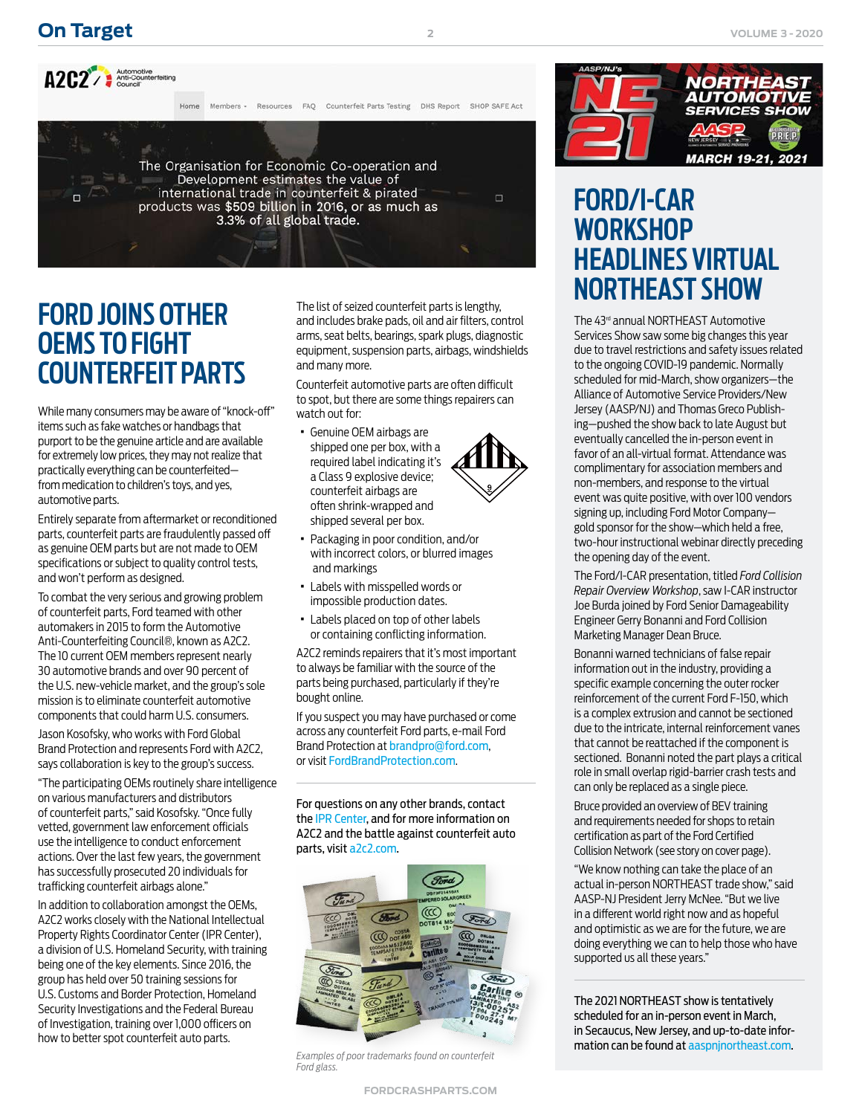**2**



# **FORD JOINS OTHER OEMS TO FIGHT COUNTERFEIT PARTS**

While many consumers may be aware of "knock-off" items such as fake watches or handbags that purport to be the genuine article and are available for extremely low prices, they may not realize that practically everything can be counterfeited from medication to children's toys, and yes, automotive parts.

Entirely separate from aftermarket or reconditioned parts, counterfeit parts are fraudulently passed off as genuine OEM parts but are not made to OEM specifications or subject to quality control tests, and won't perform as designed.

To combat the very serious and growing problem of counterfeit parts, Ford teamed with other automakers in 2015 to form the Automotive Anti-Counterfeiting Council®, known as A2C2. The 10 current OEM members represent nearly 30 automotive brands and over 90 percent of the U.S. new-vehicle market, and the group's sole mission is to eliminate counterfeit automotive components that could harm U.S. consumers.

Jason Kosofsky, who works with Ford Global Brand Protection and represents Ford with A2C2, says collaboration is key to the group's success.

"The participating OEMs routinely share intelligence on various manufacturers and distributors of counterfeit parts," said Kosofsky. "Once fully vetted, government law enforcement officials use the intelligence to conduct enforcement actions. Over the last few years, the government has successfully prosecuted 20 individuals for trafficking counterfeit airbags alone."

In addition to collaboration amongst the OEMs, A2C2 works closely with the National Intellectual Property Rights Coordinator Center (IPR Center), a division of U.S. Homeland Security, with training being one of the key elements. Since 2016, the group has held over 50 training sessions for U.S. Customs and Border Protection, Homeland Security Investigations and the Federal Bureau of Investigation, training over 1,000 officers on how to better spot counterfeit auto parts.

The list of seized counterfeit parts is lengthy, and includes brake pads, oil and air filters, control arms, seat belts, bearings, spark plugs, diagnostic equipment, suspension parts, airbags, windshields and many more.

Counterfeit automotive parts are often difficult to spot, but there are some things repairers can watch out for:

- · Genuine OEM airbags are shipped one per box, with a required label indicating it's a Class 9 explosive device; counterfeit airbags are often shrink-wrapped and shipped several per box.
	-
- · Packaging in poor condition, and/or with incorrect colors, or blurred images and markings
- · Labels with misspelled words or impossible production dates.
- · Labels placed on top of other labels or containing conflicting information.

A2C2 reminds repairers that it's most important to always be familiar with the source of the parts being purchased, particularly if they're bought online.

If you suspect you may have purchased or come across any counterfeit Ford parts, e-mail Ford Brand Protection at [brandpro@ford.com](mailto:brandpro%40ford.com?subject=Counterfeit%20Parts), or visit [FordBrandProtection.com](http://www.fordbrandprotection.com/CP_Collision.aspx).

For questions on any other brands, contact th[e IPR Center](https://www.iprcenter.gov/disclaimer/), and for more information on A2C2 and the battle [a](https://collision.ford.com/fordcertifiedcollisionnetwork)gainst counterfeit auto parts, visit [a2c2.com.](http://a2c2.com)

<span id="page-1-0"></span>

*Ford glass.*



# **FORD/I-CAR WORKSHOP HEADLINES VIRTUAL NORTHEAST SHOW**

The 43<sup>rd</sup> annual NORTHEAST Automotive Services Show saw some big changes this year due to travel restrictions and safety issues related to the ongoing COVID-19 pandemic. Normally scheduled for mid-March, show organizers—the Alliance of Automotive Service Providers/New Jersey (AASP/NJ) and Thomas Greco Publishing—pushed the show back to late August but eventually cancelled the in-person event in favor of an all-virtual format. Attendance was complimentary for association members and non-members, and response to the virtual event was quite positive, with over 100 vendors signing up, including Ford Motor Company gold sponsor for the show—which held a free, two-hour instructional webinar directly preceding the opening day of the event.

The Ford/I-CAR presentation, titled *Ford Collision Repair Overview Workshop*, saw I-CAR instructor Joe Burda joined by Ford Senior Damageability Engineer Gerry Bonanni and Ford Collision Marketing Manager Dean Bruce.

Bonanni warned technicians of false repair information out in the industry, providing a specific example concerning the outer rocker reinforcement of the current Ford F-150, which is a complex extrusion and cannot be sectioned due to the intricate, internal reinforcement vanes that cannot be reattached if the component is sectioned. Bonanni noted the part plays a critical role in small overlap rigid-barrier crash tests and can only be replaced as a single piece.

Bruce provided an overview of BEV training and requirements needed for shops to retain certification as part of the Ford Certified Collision Network (see story on cover page).

"We know nothing can take the place of an actual in-person NORTHEAST trade show," said AASP-NJ President Jerry McNee. "But we live in a different world right now and as hopeful and optimistic as we are for the future, we are doing everything we can to help those who have supported us all these years."

The 2021 NORTHEAST show is tentatively scheduled for an in-person event in March, in Secaucus, New Jersey, and up-to-date information can be found at [aaspnjnortheast.com](http://www.aaspnjnortheast.com). *Examples of poor trademarks found on counterfeit*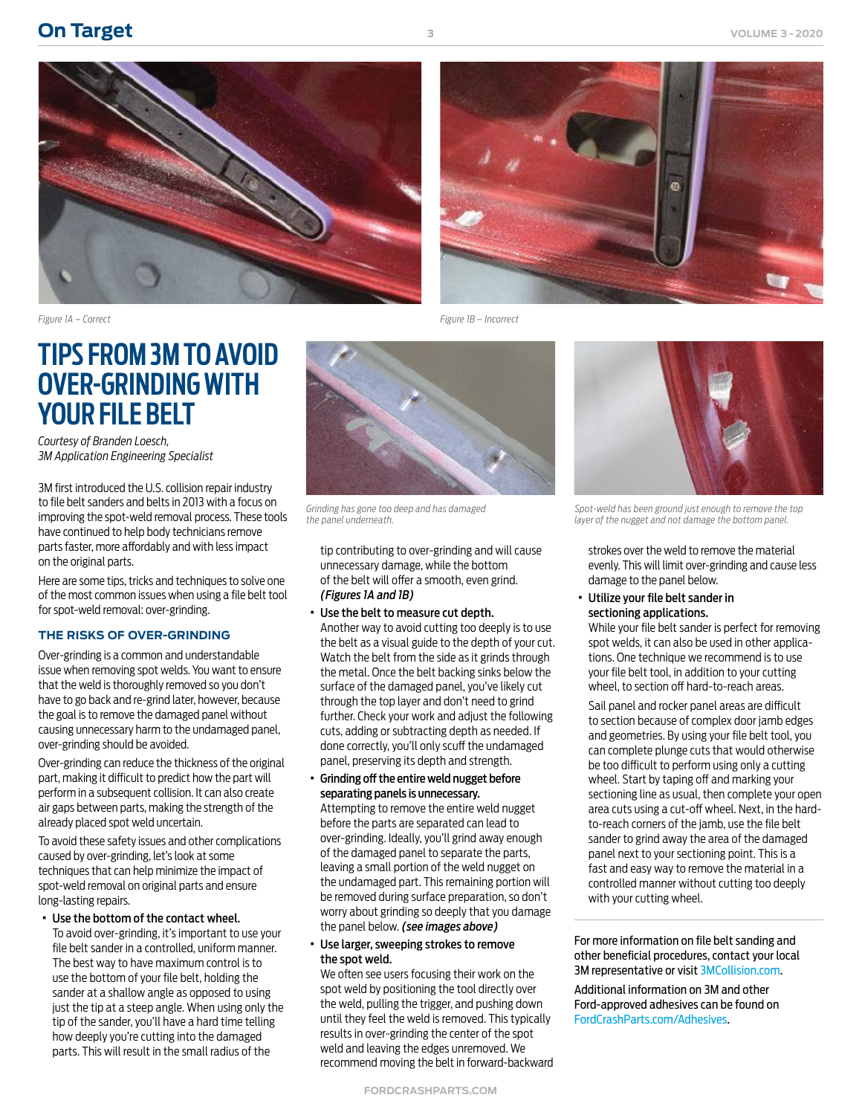<span id="page-2-0"></span>



# **TIPS FROM 3M TO AVOID OVER-GRINDING WITH YOUR FILE BELT**

*Courtesy of Branden Loesch, 3M Application Engineering Specialist*

3M first introduced the U.S. collision repair industry to file belt sanders and belts in 2013 with a focus on improving the spot-weld removal process. These tools have continued to help body technicians remove parts faster, more affordably and with less impact on the original parts.

Here are some tips, tricks and techniques to solve one of the most common issues when using a file belt tool for spot-weld removal: over-grinding.

### **THE RISKS OF OVER-GRINDING**

Over-grinding is a common and understandable issue when removing spot welds. You want to ensure that the weld is thoroughly removed so you don't have to go back and re-grind later, however, because the goal is to remove the damaged panel without causing unnecessary harm to the undamaged panel, over-grinding should be avoided.

Over-grinding can reduce the thickness of the original part, making it difficult to predict how the part will perform in a subsequent collision. It can also create air gaps between parts, making the strength of the already placed spot weld uncertain.

To avoid these safety issues and other complications caused by over-grinding, let's look at some techniques that can help minimize the impact of spot-weld removal on original parts and ensure long-lasting repairs.

### · Use the bottom of the contact wheel.

To avoid over-grinding, it's important to use your file belt sander in a controlled, uniform manner. The best way to have maximum control is to use the bottom of your file belt, holding the sander at a shallow angle as opposed to using just the tip at a steep angle. When using only the tip of the sander, you'll have a hard time telling how deeply you're cutting into the damaged parts. This will result in the small radius of the



*Grinding has gone too deep and has damaged the panel underneath.*

tip contributing to over-grinding and will cause unnecessary damage, while the bottom of the belt will offer a smooth, even grind. *(Figures 1A and 1B)*

· Use the belt to measure cut depth.

Another way to avoid cutting too deeply is to use the belt as a visual guide to the depth of your cut. Watch the belt from the side as it grinds through the metal. Once the belt backing sinks below the surface of the damaged panel, you've likely cut through the top layer and don't need to grind further. Check your work and adjust the following cuts, adding or subtracting depth as needed. If done correctly, you'll only scuff the undamaged panel, preserving its depth and strength.

- · Grinding off the entire weld nugget before separating panels is unnecessary. Attempting to remove the entire weld nugget before the parts are separated can lead to over-grinding. Ideally, you'll grind away enough of the damaged panel to separate the parts, leaving a small portion of the weld nugget on the undamaged part. This remaining portion will be removed during surface preparation, so don't worry about grinding so deeply that you damage the panel below. *(see images above)*
- · Use larger, sweeping strokes to remove the spot weld.

We often see users focusing their work on the spot weld by positioning the tool directly over the weld, pulling the trigger, and pushing down until they feel the weld is removed. This typically results in over-grinding the center of the spot weld and leaving the edges unremoved. We recommend moving the belt in forward-backward



*Spot-weld has been ground just enough to remove the top layer of the nugget and not damage the bottom panel.*

strokes over the weld to remove the material evenly. This will limit over-grinding and cause less damage to the panel below.

· Utilize your file belt sander in sectioning applications.

While your file belt sander is perfect for removing spot welds, it can also be used in other applications. One technique we recommend is to use your file belt tool, in addition to your cutting wheel, to section off hard-to-reach areas.

Sail panel and rocker panel areas are difficult to section because of complex door jamb edges and geometries. By using your file belt tool, you can complete plunge cuts that would otherwise be too difficult to perform using only a cutting wheel. Start by taping off and marking your sectioning line as usual, then complete your open area cuts using a cut-off wheel. Next, in the hardto-reach corners of the jamb, use the file belt sander to grind away the area of the damaged panel next to your sectioning point. This is a fast and easy way to remove the material in a controlled manner without cutting too deeply with your cutting wheel.

For more information on file belt sanding and other beneficial procedures, contact your local 3M representative or visit [3MCollision.com](https://www.3m.com/3M/en_US/collision-repair-us/).

Additional information on 3M and other Ford-approved adhesives can be found on [FordCrashParts.com/Adhesives](https://www.fordcrashparts.com/adhesives)[.](https://collision.ford.com/fordcertifiedcollisionnetwork)

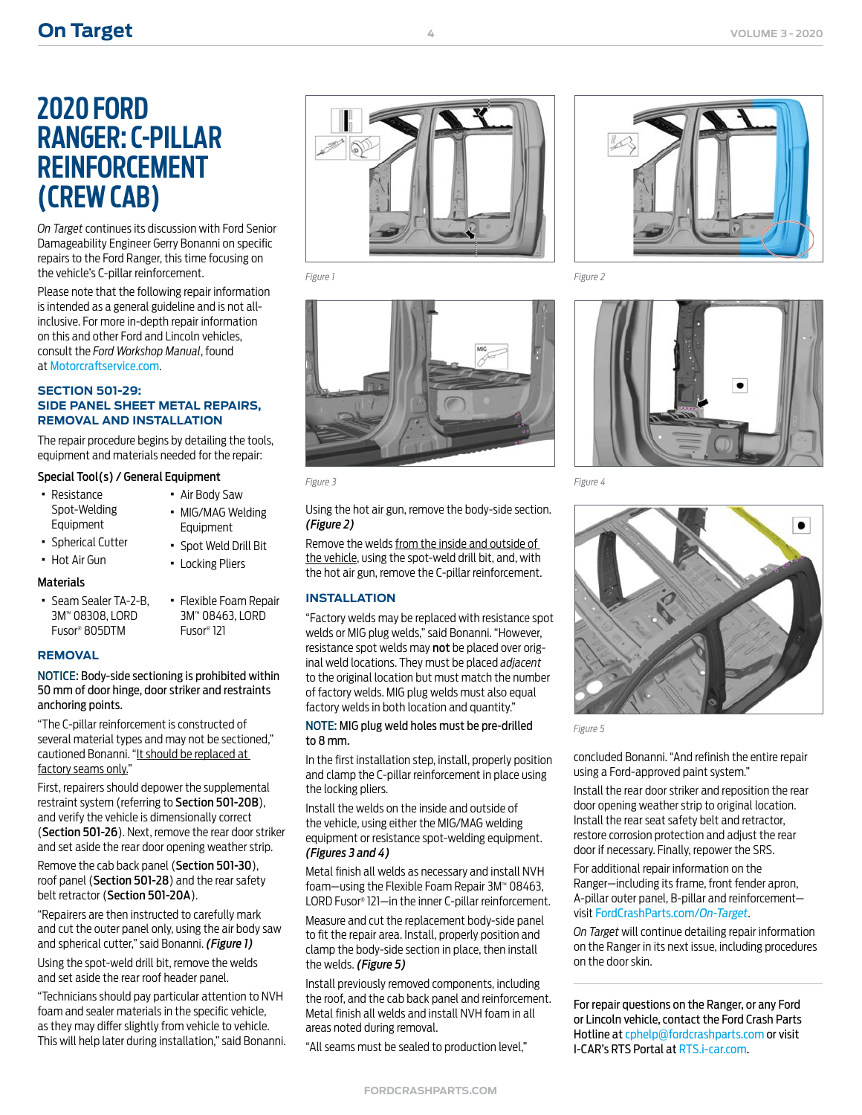# **2020 FORD RANGER: C-PILLAR REINFORCEMENT (CREW CAB)**

*On Target* continues its discussion with Ford Senior Damageability Engineer Gerry Bonanni on specific repairs to the Ford Ranger, this time focusing on the vehicle's C-pillar reinforcement.

Please note that the following repair information is intended as a general guideline and is not allinclusive. For more in-depth repair information on this and other Ford and Lincoln vehicles, consult the *Ford Workshop Manual*, found at [Motorcraftservice.com](https://www.motorcraftservice.com/Home/SetCountry?returnUrl=https%3A%2F%2Fwww.motorcraftservice.com%3A14002%2F).

### **SECTION 501-29: SIDE PANEL SHEET METAL REPAIRS, REMOVAL AND INSTALLATION**

The repair procedure begins by detailing the tools, equipment and materials needed for the repair:

### Special Tool(s) / General Equipment

- · Resistance Spot-Welding Equipment
- · Spherical Cutter
- · Hot Air Gun

### **Materials**

- · Seam Sealer TA-2-B, 3M™ 08308, LORD Fusor® 805DTM
- · Flexible Foam Repair 3M™ 08463, LORD Fusor® 121

· Air Body Saw · MIG/MAG Welding Equipment · Spot Weld Drill Bit · Locking Pliers

### **REMOVAL**

NOTICE: Body-side sectioning is prohibited within 50 mm of door hinge, door striker and restraints anchoring points.

"The C-pillar reinforcement is constructed of several material types and may not be sectioned," cautioned Bonanni. "It should be replaced at factory seams only."

First, repairers should depower the supplemental restraint system (referring to Section 501-20B), and verify the vehicle is dimensionally correct (Section 501-26). Next, remove the rear door striker and set aside the rear door opening weather strip.

Remove the cab back panel (Section 501-30), roof panel (Section 501-28) and the rear safety belt retractor (Section 501-20A).

"Repairers are then instructed to carefully mark and cut the outer panel only, using the air body saw and spherical cutter," said Bonanni. *(Figure 1)*

Using the spot-weld drill bit, remove the welds and set aside the rear roof header panel.

"Technicians should pay particular attention to NVH foam and sealer materials in the specific vehicle, as they may differ slightly from vehicle to vehicle. This will help later during installation," said Bonanni.



<span id="page-3-0"></span>

Using the hot air gun, remove the body-side section. *(Figure 2)*

Remove the welds from the inside and outside of the vehicle, using the spot-weld drill bit, and, with the hot air gun, remove the C-pillar reinforcement.

### **INSTALLATION**

"Factory welds may be replaced with resistance spot welds or MIG plug welds," said Bonanni. "However, resistance spot welds may not be placed over original weld locations. They must be placed *adjacent* to the original location but must match the number of factory welds. MIG plug welds must also equal factory welds in both location and quantity."

### NOTE: MIG plug weld holes must be pre-drilled to 8 mm.

In the first installation step, install, properly position and clamp the C-pillar reinforcement in place using the locking pliers.

Install the welds on the inside and outside of the vehicle, using either the MIG/MAG welding equipment or resistance spot-welding equipment. *(Figures 3 and 4)*

Metal finish all welds as necessary and install NVH foam—using the Flexible Foam Repair 3M™ 08463, LORD Fusor® 121—in the inner C-pillar reinforcement.

Measure and cut the replacement body-side panel to fit the repair area. Install, properly position and clamp the body-side section in place, then install the welds. *(Figure 5)*

Install previously removed components, including the roof, and the cab back panel and reinforcement. Metal finish all welds and install NVH foam in all areas noted during removal.

"All seams must be sealed to production level,"





*Figure 3 Figure 4*



*Figure 5*

concluded Bonanni. "And refinish the entire repair using a Ford-approved paint system."

Install the rear door striker and reposition the rear door opening weather strip to original location. Install the rear seat safety belt and retractor, restore corrosion protection and adjust the rear door if necessary. Finally, repower the SRS.

For additional repair information on the Ranger—including its frame, front fender apron, A-pillar outer panel, B-pillar and reinforcement visit [FordCrashParts.com/](https://www.fordcrashparts.com/on-target-newsletters)*On-Target*.

*On Target* will continue detailing repair information on the Ranger in its next issue, including procedures on the door skin.

For repair questions on the Ranger, or any Ford or Lincoln vehicle, contact the Ford Crash Parts Hotline at [cphelp@fordcrashparts](mailto:cphelp%40fordcrashparts?subject=2020%20Lincoln%20Aviator/Ford%20Explorer%3A%20Frame%20Assembly).com or visit I-CAR's RTS Portal at [RTS.i-car.com.](https://rts.i-car.com)

**4**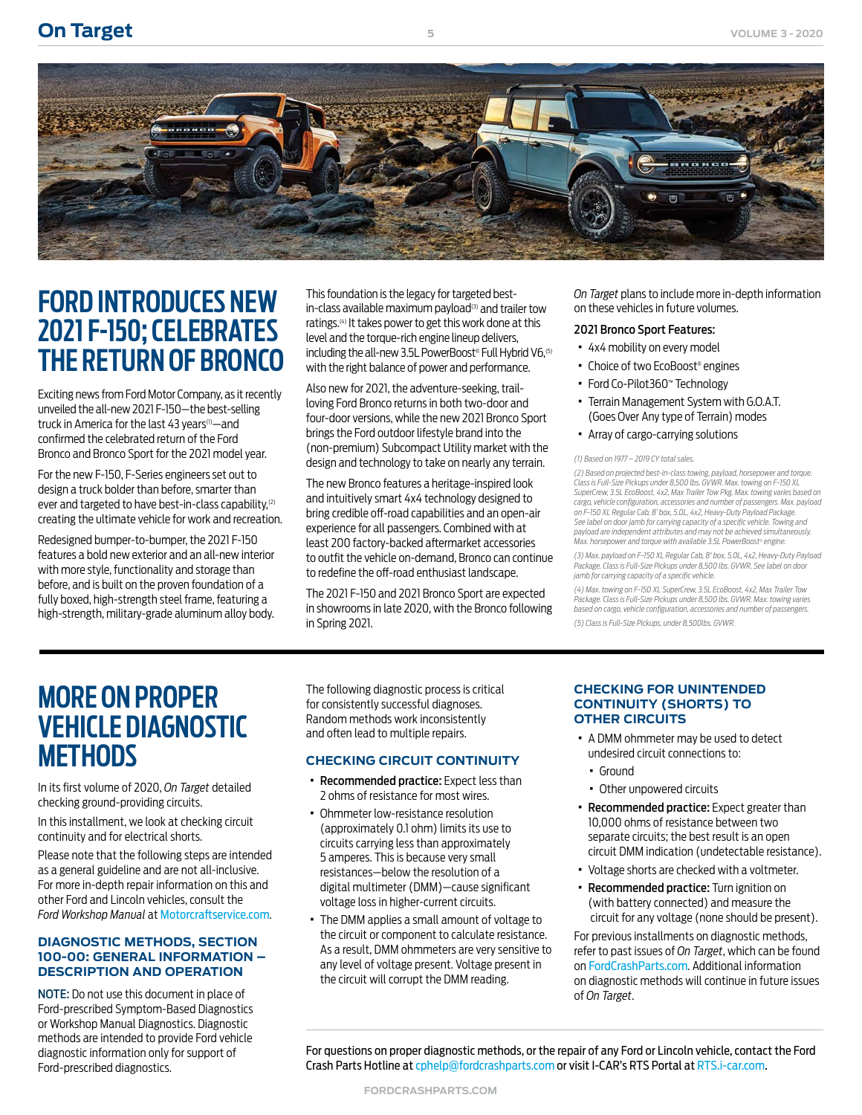

<span id="page-4-0"></span>

# **FORD INTRODUCES NEW 2021 F-150; CELEBRATES THE RETURN OF BRONCO**

Exciting news from Ford Motor Company, as it recently unveiled the all-new 2021 F-150—the best-selling truck in America for the last 43 years<sup>(1)</sup>—and confirmed the celebrated return of the Ford Bronco and Bronco Sport for the 2021 model year.

For the new F-150, F-Series engineers set out to design a truck bolder than before, smarter than ever and targeted to have best-in-class capability,<sup>(2)</sup> creating the ultimate vehicle for work and recreation.

Redesigned bumper-to-bumper, the 2021 F-150 features a bold new exterior and an all-new interior with more style, functionality and storage than before, and is built on the proven foundation of a fully boxed, high-strength steel frame, featuring a high-strength, military-grade aluminum alloy body.

This foundation is the legacy for targeted bestin-class available maximum payload<sup>(3)</sup> and trailer tow ratings.(4) It takes power to get this work done at this level and the torque-rich engine lineup delivers, including the all-new 3.5L PowerBoost® Full Hybrid V6,(5) with the right balance of power and performance.

Also new for 2021, the adventure-seeking, trailloving Ford Bronco returns in both two-door and four-door versions, while the new 2021 Bronco Sport brings the Ford outdoor lifestyle brand into the (non-premium) Subcompact Utility market with the design and technology to take on nearly any terrain.

The new Bronco features a heritage-inspired look and intuitively smart 4x4 technology designed to bring credible off-road capabilities and an open-air experience for all passengers. Combined with at least 200 factory-backed aftermarket accessories to outfit the vehicle on-demand, Bronco can continue to redefine the off-road enthusiast landscape.

The 2021 F-150 and 2021 Bronco Sport are expected in showrooms in late 2020, with the Bronco following in Spring 2021.

*On Target* plans to include more in-depth information on these vehicles in future volumes.

### 2021 Bronco Sport Features:

- · 4x4 mobility on every model
- Choice of two EcoBoost® engines
- · Ford Co-Pilot360™ Technology
- · Terrain Management System with G.O.A.T. (Goes Over Any type of Terrain) modes
- · Array of cargo-carrying solutions

### *(1) Based on 1977 – 2019 CY total sales.*

*(2) Based on projected best-in-class towing, payload, horsepower and torque. Class is Full-Size Pickups under 8,500 lbs. GVWR. Max. towing on F-150 XL SuperCrew, 3.5L EcoBoost, 4x2, Max Trailer Tow Pkg. Max. towing varies based on cargo, vehicle configuration, accessories and number of passengers. Max. payload on F-150 XL Regular Cab, 8' box, 5.0L, 4x2, Heavy-Duty Payload Package.*  See label on door jamb for carrying capacity of a specific vehicle. Towing and *payload are independent attributes and may not be achieved simultaneously. Max. horsepower and torque with available 3.5L PowerBoost® engine.*

*(3) Max. payload on F-150 XL Regular Cab, 8' box, 5.0L, 4x2, Heavy-Duty Payload Package. Class is Full-Size Pickups under 8,500 lbs. GVWR. See label on door jamb for carrying capacity of a specific vehicle.*

*(4) Max. towing on F-150 XL SuperCrew, 3.5L EcoBoost, 4x2, Max Trailer Tow*  Package. Class is Full-Size Pickups under 8,500 lbs. GVWR. Max. towing varies *based on cargo, vehicle configuration, accessories and number of passengers. (5) Class is Full-Size Pickups, under 8,500lbs. GVWR.*

# **MORE ON PROPER VEHICLE DIAGNOSTIC METHODS**

In its first volume of 2020, *On Target* detailed checking ground-providing circuits.

In this installment, we look at checking circuit continuity and for electrical shorts.

Please note that the following steps are intended as a general guideline and are not all-inclusive. For more in-depth repair information on this and other Ford and Lincoln vehicles, consult the *Ford Workshop Manual* at [Motorcraftservice.com](https://www.motorcraftservice.com/Home/SetCountry?returnUrl=https%3A%2F%2Fwww.motorcraftservice.com%3A14002%2F).

### **DIAGNOSTIC METHODS, SECTION 100-00: GENERAL INFORMATION – DESCRIPTION AND OPERATION**

NOTE: Do not use this document in place of Ford-prescribed Symptom-Based Diagnostics or Workshop Manual Diagnostics. Diagnostic methods are intended to provide Ford vehicle diagnostic information only for support of Ford-prescribed diagnostics.

The following diagnostic process is critical for consistently successful diagnoses. Random methods work inconsistently and often lead to multiple repairs.

### **CHECKING CIRCUIT CONTINUITY**

- · Recommended practice: Expect less than 2 ohms of resistance for most wires.
- · Ohmmeter low-resistance resolution (approximately 0.1 ohm) limits its use to circuits carrying less than approximately 5 amperes. This is because very small resistances—below the resolution of a digital multimeter (DMM)—cause significant voltage loss in higher-current circuits.
- · The DMM applies a small amount of voltage to the circuit or component to calculate resistance. As a result, DMM ohmmeters are very sensitive to any level of voltage present. Voltage present in the circuit will corrupt the DMM reading.

### **CHECKING FOR UNINTENDED CONTINUITY (SHORTS) TO OTHER CIRCUITS**

- · A DMM ohmmeter may be used to detect undesired circuit connections to:
	- · Ground
	- · Other unpowered circuits
- · Recommended practice: Expect greater than 10,000 ohms of resistance between two separate circuits; the best result is an open circuit DMM indication (undetectable resistance).
- · Voltage shorts are checked with a voltmeter.
- · Recommended practice: Turn ignition on (with battery connected) and measure the circuit for any voltage (none should be present).

For previous installments on diagnostic methods, refer to past issues of *On Target*, which can be found on [FordCrashParts.com](https://www.fordcrashparts.com/on-target-newsletters). Additional information on diagnostic methods will continue in future issues of *On Target*.

For questions on proper diagnostic methods, or the repair of any Ford or Lincoln vehicle, contact the Ford Crash Parts Hotline at [cphelp@fordcrashparts](mailto:cphelp%40fordcrashparts?subject=2020%20Lincoln%20Aviator/Ford%20Explorer%3A%20Frame%20Assembly).com or visit I-CAR's RTS Portal at [RTS.i-car.com](https://rts.i-car.com).